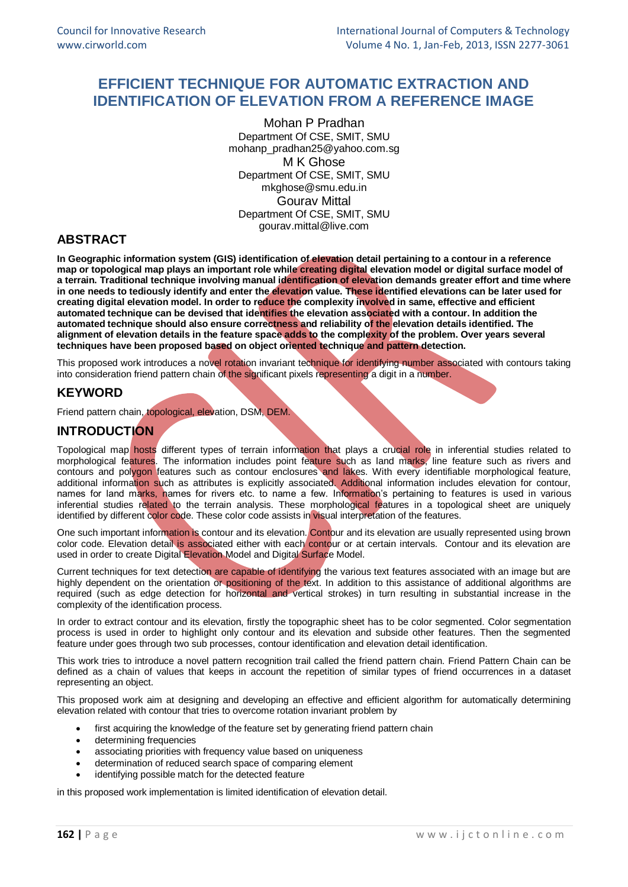# **EFFICIENT TECHNIQUE FOR AUTOMATIC EXTRACTION AND IDENTIFICATION OF ELEVATION FROM A REFERENCE IMAGE**

Mohan P Pradhan Department Of CSE, SMIT, SMU [mohanp\\_pradhan25@yahoo.com.sg](mailto:mohanp_pradhan25@yahoo.com.sg) M K Ghose Department Of CSE, SMIT, SMU [mkghose@smu.edu.in](mailto:mkghose@smu.edu.in) Gourav Mittal Department Of CSE, SMIT, SMU [gourav.mittal@live.com](mailto:gourav.mittal@live.com)

## **ABSTRACT**

**In Geographic information system (GIS) identification of elevation detail pertaining to a contour in a reference map or topological map plays an important role while creating digital elevation model or digital surface model of a terrain. Traditional technique involving manual identification of elevation demands greater effort and time where in one needs to tediously identify and enter the elevation value. These identified elevations can be later used for creating digital elevation model. In order to reduce the complexity involved in same, effective and efficient automated technique can be devised that identifies the elevation associated with a contour. In addition the automated technique should also ensure correctness and reliability of the elevation details identified. The alignment of elevation details in the feature space adds to the complexity of the problem. Over years several techniques have been proposed based on object oriented technique and pattern detection.** 

This proposed work introduces a novel rotation invariant technique for identifying number associated with contours taking into consideration friend pattern chain of the significant pixels representing a digit in a number.

## **KEYWORD**

Friend pattern chain, topological, elevation, DSM, DEM.

## **INTRODUCTION**

Topological map hosts different types of terrain information that plays a crucial role in inferential studies related to morphological features. The information includes point feature such as land marks, line feature such as rivers and contours and polygon features such as contour enclosures and lakes. With every identifiable morphological feature, additional information such as attributes is explicitly associated. Additional information includes elevation for contour, names for land marks, names for rivers etc. to name a few. Information's pertaining to features is used in various inferential studies related to the terrain analysis. These morphological features in a topological sheet are uniquely identified by different color code. These color code assists in visual interpretation of the features.

One such important information is contour and its elevation. Contour and its elevation are usually represented using brown color code. Elevation detail is associated either with each contour or at certain intervals. Contour and its elevation are used in order to create Digital Elevation Model and Digital Surface Model.

Current techniques for text detection are capable of identifying the various text features associated with an image but are highly dependent on the orientation or positioning of the text. In addition to this assistance of additional algorithms are required (such as edge detection for horizontal and vertical strokes) in turn resulting in substantial increase in the complexity of the identification process.

In order to extract contour and its elevation, firstly the topographic sheet has to be color segmented. Color segmentation process is used in order to highlight only contour and its elevation and subside other features. Then the segmented feature under goes through two sub processes, contour identification and elevation detail identification.

This work tries to introduce a novel pattern recognition trail called the friend pattern chain. Friend Pattern Chain can be defined as a chain of values that keeps in account the repetition of similar types of friend occurrences in a dataset representing an object.

This proposed work aim at designing and developing an effective and efficient algorithm for automatically determining elevation related with contour that tries to overcome rotation invariant problem by

- first acquiring the knowledge of the feature set by generating friend pattern chain
- determining frequencies
- associating priorities with frequency value based on uniqueness
- determination of reduced search space of comparing element
- identifying possible match for the detected feature

in this proposed work implementation is limited identification of elevation detail.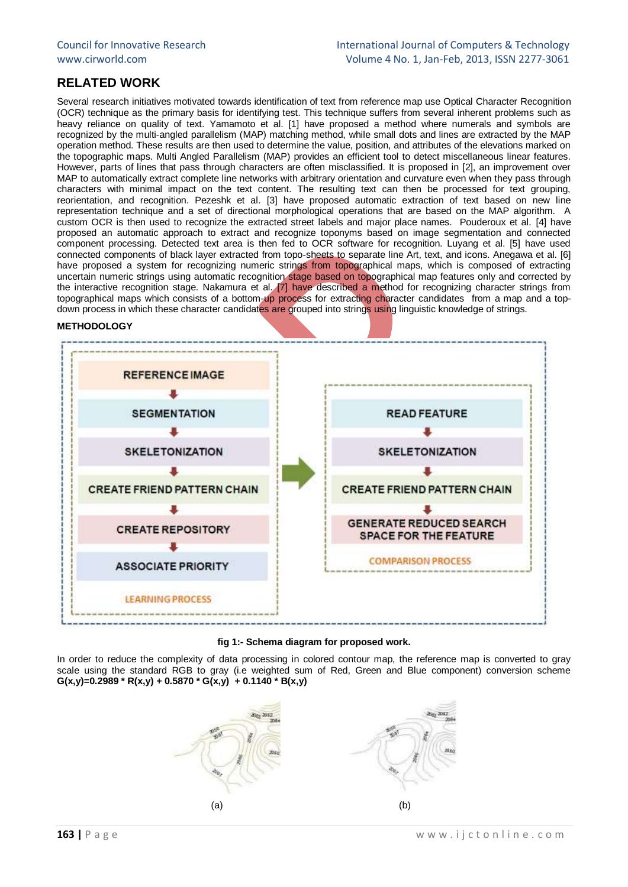## **RELATED WORK**

Several research initiatives motivated towards identification of text from reference map use Optical Character Recognition (OCR) technique as the primary basis for identifying test. This technique suffers from several inherent problems such as heavy reliance on quality of text. Yamamoto et al. [1] have proposed a method where numerals and symbols are recognized by the multi-angled parallelism (MAP) matching method, while small dots and lines are extracted by the MAP operation method. These results are then used to determine the value, position, and attributes of the elevations marked on the topographic maps. Multi Angled Parallelism (MAP) provides an efficient tool to detect miscellaneous linear features. However, parts of lines that pass through characters are often misclassified. It is proposed in [2], an improvement over MAP to automatically extract complete line networks with arbitrary orientation and curvature even when they pass through characters with minimal impact on the text content. The resulting text can then be processed for text grouping, reorientation, and recognition. Pezeshk et al. [3] have proposed automatic extraction of text based on new line representation technique and a set of directional morphological operations that are based on the MAP algorithm. A custom OCR is then used to recognize the extracted street labels and major place names. Pouderoux et al. [4] have proposed an automatic approach to extract and recognize toponyms based on image segmentation and connected component processing. Detected text area is then fed to OCR software for recognition. Luyang et al. [5] have used connected components of black layer extracted from topo-sheets to separate line Art, text, and icons. Anegawa et al. [6] have proposed a system for recognizing numeric strings from topographical maps, which is composed of extracting uncertain numeric strings using automatic recognition stage based on topographical map features only and corrected by the interactive recognition stage. Nakamura et al. [7] have described a method for recognizing character strings from topographical maps which consists of a bottom-up process for extracting character candidates from a map and a topdown process in which these character candidates are grouped into strings using linguistic knowledge of strings.

#### **METHODOLOGY**



#### **fig 1:- Schema diagram for proposed work.**

In order to reduce the complexity of data processing in colored contour map, the reference map is converted to gray scale using the standard RGB to gray (i.e weighted sum of Red, Green and Blue component) conversion scheme  $G(x,y)=0.2989 * R(x,y) + 0.5870 * G(x,y) + 0.1140 * B(x,y)$ 

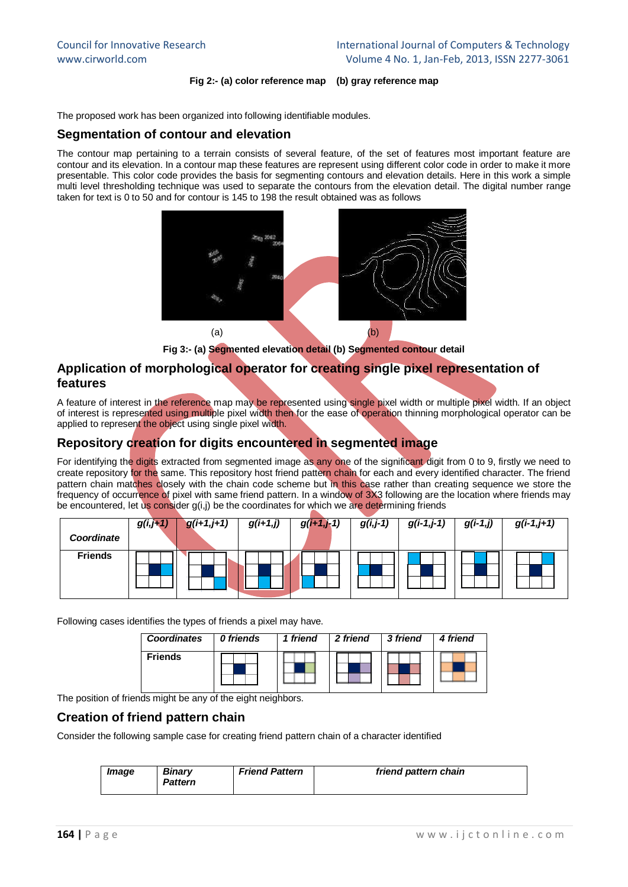#### **Fig 2:- (a) color reference map (b) gray reference map**

The proposed work has been organized into following identifiable modules.

#### **Segmentation of contour and elevation**

The contour map pertaining to a terrain consists of several feature, of the set of features most important feature are contour and its elevation. In a contour map these features are represent using different color code in order to make it more presentable. This color code provides the basis for segmenting contours and elevation details. Here in this work a simple multi level thresholding technique was used to separate the contours from the elevation detail. The digital number range taken for text is 0 to 50 and for contour is 145 to 198 the result obtained was as follows



**Fig 3:- (a) Segmented elevation detail (b) Segmented contour detail**

## **Application of morphological operator for creating single pixel representation of features**

A feature of interest in the reference map may be represented using single pixel width or multiple pixel width. If an object of interest is represented using multiple pixel width then for the ease of operation thinning morphological operator can be applied to represent the object using single pixel width.

## **Repository creation for digits encountered in segmented image**

For identifying the digits extracted from segmented image as any one of the significant digit from 0 to 9, firstly we need to create repository for the same. This repository host friend pattern chain for each and every identified character. The friend pattern chain matches closely with the chain code scheme but in this case rather than creating sequence we store the frequency of occurrence of pixel with same friend pattern. In a window of 3X3 following are the location where friends may be encountered, let us consider g(i,j) be the coordinates for which we are determining friends

|                | $g(i,j+1)$ | $g(i+1,j+1)$ | $g(i+1,j)$ | $g(i+1,j-1)$ | $g(i,j-1)$ | $g(i-1,j-1)$ | $g(i-1,j)$ | $g(i-1,j+1)$ |
|----------------|------------|--------------|------------|--------------|------------|--------------|------------|--------------|
| Coordinate     |            |              |            |              |            |              |            |              |
| <b>Friends</b> |            |              |            |              |            |              |            |              |

Following cases identifies the types of friends a pixel may have.

| <b>Coordinates</b> | 0 friends | 1 friend | 2 friend | 3 friend | 4 friend |
|--------------------|-----------|----------|----------|----------|----------|
| <b>Friends</b>     |           |          |          |          |          |

The position of friends might be any of the eight neighbors.

## **Creation of friend pattern chain**

Consider the following sample case for creating friend pattern chain of a character identified

| Image | <b>Binary</b><br>Pattern | <b>Friend Pattern</b> | friend pattern chain |
|-------|--------------------------|-----------------------|----------------------|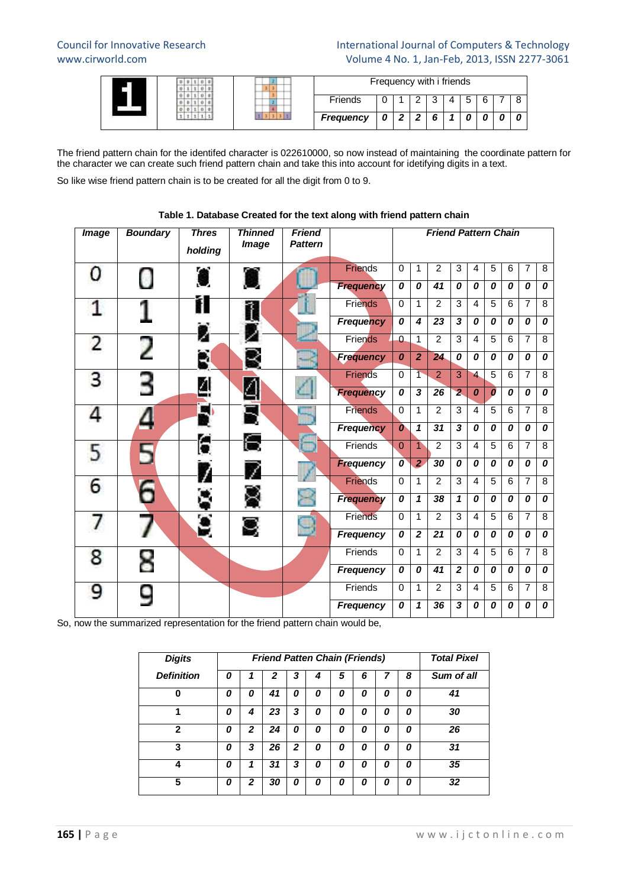#### Council for Innovative Research International Journal of Computers & Technology www.cirworld.com Volume 4 No. 1, Jan-Feb, 2013, ISSN 2277-3061

|  |           | Frequency with i friends |   |   |  |   |
|--|-----------|--------------------------|---|---|--|---|
|  | Friends   |                          | ີ | ∽ |  | c |
|  | Frequency |                          |   |   |  |   |

The friend pattern chain for the identifed character is 022610000, so now instead of maintaining the coordinate pattern for the character we can create such friend pattern chain and take this into account for idetifying digits in a text.

So like wise friend pattern chain is to be created for all the digit from 0 to 9.

| <b>Image</b>   | <b>Boundary</b> | <b>Thres</b><br>holding | <b>Thinned</b><br><b>Image</b> | <b>Friend</b><br><b>Pattern</b> |                  |                  |                         | <b>Friend Pattern Chain</b> |                            |                         |                  |                |                |                  |
|----------------|-----------------|-------------------------|--------------------------------|---------------------------------|------------------|------------------|-------------------------|-----------------------------|----------------------------|-------------------------|------------------|----------------|----------------|------------------|
| O              | Ω               |                         |                                |                                 | <b>Friends</b>   | $\mathbf 0$      | $\mathbf{1}$            | $\overline{2}$              | 3                          | 4                       | 5                | 6              | $\overline{7}$ | 8                |
|                |                 |                         |                                |                                 | <b>Frequency</b> | 0                | 0                       | 41                          | 0                          | 0                       | 0                | 0              | 0              | 0                |
|                |                 |                         | Ĩ                              |                                 | <b>Friends</b>   | $\Omega$         | 1                       | $\overline{2}$              | 3                          | $\overline{4}$          | 5                | $\overline{6}$ | $\overline{7}$ | 8                |
|                |                 |                         |                                |                                 | <b>Frequency</b> | 0                | 4                       | 23                          | $\overline{\mathbf{3}}$    | 0                       | $\boldsymbol{0}$ | 0              | 0              | 0                |
| $\overline{2}$ | 2               |                         |                                |                                 | Friends          | $\Omega$         | $\mathbf{1}$            | $\overline{2}$              | $\overline{3}$             | $\overline{4}$          | $\overline{5}$   | 6              | $\overline{7}$ | $\overline{8}$   |
|                |                 |                         |                                |                                 | <b>Frequency</b> | $\boldsymbol{0}$ | $\overline{2}$          | 24                          | 0                          | $\boldsymbol{o}$        | $\boldsymbol{0}$ | 0              | 0              | 0                |
| 3              |                 |                         |                                |                                 | Friends          | $\mathbf 0$      | $\overline{\textbf{T}}$ | $\overline{2}$              | $\overline{3}$             | $\overline{\mathbf{4}}$ | $\overline{5}$   | $\overline{6}$ | $\overline{7}$ | $\overline{8}$   |
|                |                 |                         |                                |                                 | <b>Frequency</b> | 0                | 3                       | 26                          | $\overline{\mathbf{2}}$    | $\boldsymbol{0}$        | $\boldsymbol{0}$ | 0              | 0              | 0                |
|                |                 | ×.                      | F                              |                                 | Friends          | $\Omega$         | $\mathbf{1}$            | 2                           | 3                          | 4                       | 5                | 6              | $\overline{7}$ | $\overline{8}$   |
|                |                 |                         |                                |                                 | <b>Frequency</b> | $\boldsymbol{o}$ | $\mathbf{1}$            | 31                          | $\overline{\mathbf{3}}$    | 0                       | $\boldsymbol{0}$ | 0              | 0              | $\boldsymbol{0}$ |
| 5              |                 |                         |                                |                                 | Friends          | $\Omega$         | $\blacktriangleleft$    | 2                           | 3                          | $\overline{4}$          | 5                | 6              | $\overline{7}$ | $\overline{8}$   |
|                |                 |                         |                                |                                 | <b>Frequency</b> | $\boldsymbol{o}$ | $\overline{2}$          | 30                          | 0                          | 0                       | 0                | 0              | 0              | 0                |
| 6              |                 |                         |                                |                                 | <b>Friends</b>   | $\mathbf 0$      | $\mathbf{1}$            | 2                           | $\overline{3}$             | $\overline{4}$          | 5                | 6              | $\overline{7}$ | 8                |
|                |                 |                         |                                |                                 | <b>Frequency</b> | 0                | $\mathbf{1}$            | 38                          | $\boldsymbol{\mathcal{L}}$ | 0                       | 0                | 0              | 0              | 0                |
|                |                 | g                       |                                |                                 | Friends          | $\Omega$         | $\mathbf{1}$            | $\overline{2}$              | 3                          | $\overline{4}$          | 5                | 6              | $\overline{7}$ | 8                |
|                |                 |                         |                                |                                 | <b>Frequency</b> | 0                | $\overline{2}$          | $\overline{21}$             | $\overline{o}$             | 0                       | 0                | 0              | 0              | $\overline{o}$   |
| 8              | 8               |                         |                                |                                 | Friends          | $\mathbf 0$      | 1                       | $\overline{2}$              | 3                          | $\overline{4}$          | 5                | $\overline{6}$ | 7              | 8                |
|                |                 |                         |                                |                                 | Frequency        | 0                | 0                       | 41                          | $\overline{\mathbf{2}}$    | 0                       | $\boldsymbol{0}$ | 0              | 0              | 0                |
| 9              |                 |                         |                                |                                 | Friends          | $\Omega$         | $\mathbf{1}$            | $\overline{2}$              | 3                          | $\overline{4}$          | 5                | 6              | $\overline{7}$ | 8                |
|                |                 |                         |                                |                                 | <b>Frequency</b> | 0                | 1                       | 36                          | 3                          | 0                       | 0                | 0              | 0              | 0                |

**Table 1. Database Created for the text along with friend pattern chain**

So, now the summarized representation for the friend pattern chain would be,

| <b>Digits</b>     |   |              | <b>Friend Patten Chain (Friends)</b> |              |   |   |   |   |   | <b>Total Pixel</b> |
|-------------------|---|--------------|--------------------------------------|--------------|---|---|---|---|---|--------------------|
| <b>Definition</b> | 0 | 1            | 2                                    | 3            | 4 | 5 | 6 | 7 | 8 | Sum of all         |
| 0                 | 0 | 0            | 41                                   | 0            | 0 | 0 | 0 | 0 | 0 | 41                 |
|                   | 0 | 4            | 23                                   | 3            | Ο | Ο | 0 | Ο | 0 | 30                 |
| $\mathbf{2}$      | 0 | $\mathbf{2}$ | 24                                   | 0            | 0 | 0 | 0 | Ο | 0 | 26                 |
| 3                 | 0 | 3            | 26                                   | $\mathbf{z}$ | 0 | 0 | Ω | 0 | 0 | 31                 |
| Δ                 | 0 | 1            | 31                                   | 3            | Ω | Ω | Ω | Ω | 0 | 35                 |
| 5                 | 0 | $\mathbf{2}$ | 30                                   | 0            | Ω | Ο | Ω | Ω | 0 | 32                 |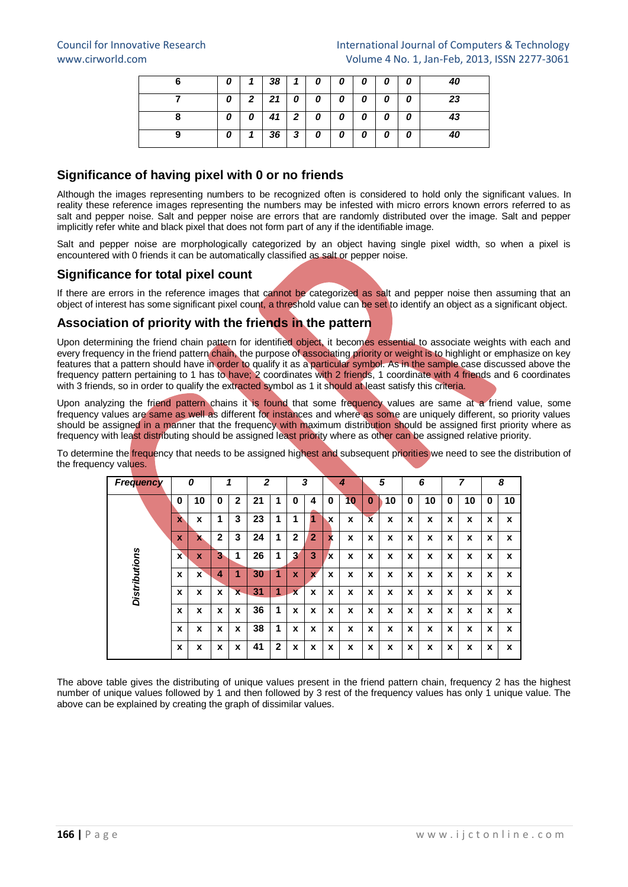| U |                | 38 | 1              | 0 | 0 | 0 | 0 | 0 | 40 |
|---|----------------|----|----------------|---|---|---|---|---|----|
| 0 | 2 <sub>1</sub> | 21 | 0              | 0 | 0 | 0 | 0 | 0 | 23 |
| 0 | 0              | 41 | $\overline{2}$ | 0 | 0 | 0 | 0 | 0 | 43 |
| 0 |                | 36 | 3              | 0 | 0 | 0 | 0 | 0 | 40 |

## **Significance of having pixel with 0 or no friends**

Although the images representing numbers to be recognized often is considered to hold only the significant values. In reality these reference images representing the numbers may be infested with micro errors known errors referred to as salt and pepper noise. Salt and pepper noise are errors that are randomly distributed over the image. Salt and pepper implicitly refer white and black pixel that does not form part of any if the identifiable image.

Salt and pepper noise are morphologically categorized by an object having single pixel width, so when a pixel is encountered with 0 friends it can be automatically classified as salt or pepper noise.

## **Significance for total pixel count**

If there are errors in the reference images that cannot be categorized as salt and pepper noise then assuming that an object of interest has some significant pixel count, a threshold value can be set to identify an object as a significant object.

## **Association of priority with the friends in the pattern**

Upon determining the friend chain pattern for identified object, it becomes essential to associate weights with each and every frequency in the friend pattern chain, the purpose of associating priority or weight is to highlight or emphasize on key features that a pattern should have in order to qualify it as a particular symbol. As in the sample case discussed above the frequency pattern pertaining to 1 has to have; 2 coordinates with 2 friends, 1 coordinate with 4 friends and 6 coordinates with 3 friends, so in order to qualify the extracted symbol as 1 it should at least satisfy this criteria.

Upon analyzing the friend pattern chains it is found that some frequency values are same at a friend value, some frequency values are same as well as different for instances and where as some are uniquely different, so priority values should be assigned in a manner that the frequency with maximum distribution should be assigned first priority where as frequency with least distributing should be assigned least priority where as other can be assigned relative priority.

To determine the frequency that needs to be assigned highest and subsequent priorities we need to see the distribution of the frequency values.

| <b>Frequency</b>     |                           | 0  |              | 1                       | 2  |                |                         | 3              |                           | 4            |                         | 5           |             | 6  |   | 7  |   | 8  |
|----------------------|---------------------------|----|--------------|-------------------------|----|----------------|-------------------------|----------------|---------------------------|--------------|-------------------------|-------------|-------------|----|---|----|---|----|
|                      | 0                         | 10 | 0            | $\overline{2}$          | 21 | 1              | 0                       | 4              | 0                         | 10           | 0                       | 10          | 0           | 10 | 0 | 10 | 0 | 10 |
|                      | $\mathbf{x}$              | X  | 1            | 3                       | 23 | 1              |                         | 1              | х                         | $\mathbf{x}$ | $\overline{\mathbf{x}}$ | $\mathbf x$ | X           | x  | X | X  | X | X  |
|                      | $\boldsymbol{\mathsf{x}}$ | x  | $\mathbf{2}$ | 3                       | 24 | 1              | $\mathbf{2}$            | $\overline{2}$ | $\boldsymbol{\mathsf{x}}$ | X            | $\boldsymbol{x}$        | X           | $\mathbf x$ | x  | X | X  | X | X  |
| <b>Distributions</b> | X                         | X  | 3            | 1                       | 26 | 1              | 3                       | 3              | X                         | X            | X                       | X           | X           | x  | x | X  | X | X  |
|                      | X                         | X  | 4            | 1                       | 30 | 1              | X                       | $\mathbf{x}$   | X                         | X            | x                       | X           | X           | x  | X | X  | X | X  |
|                      | X                         | X  | X            | $\overline{\mathbf{x}}$ | 31 | 1              | $\overline{\mathbf{x}}$ | X              | X                         | X            | X                       | X           | X           | x  | X | X  | X | X  |
|                      | x                         | X  | X            | X                       | 36 | 1              | X                       | X              | X                         | x            | x                       | X           | X           | x  | x | x  | X | X  |
|                      | x                         | x  | X            | X                       | 38 | 1              | X                       | X              | X                         | X            | X                       | X           | X           | x  | X | X  | X | X  |
|                      | X                         | X  | X            | X                       | 41 | $\overline{2}$ | X                       | X              | X                         | X            | X                       | X           | X           | x  | X | X  | X | X  |

The above table gives the distributing of unique values present in the friend pattern chain, frequency 2 has the highest number of unique values followed by 1 and then followed by 3 rest of the frequency values has only 1 unique value. The above can be explained by creating the graph of dissimilar values.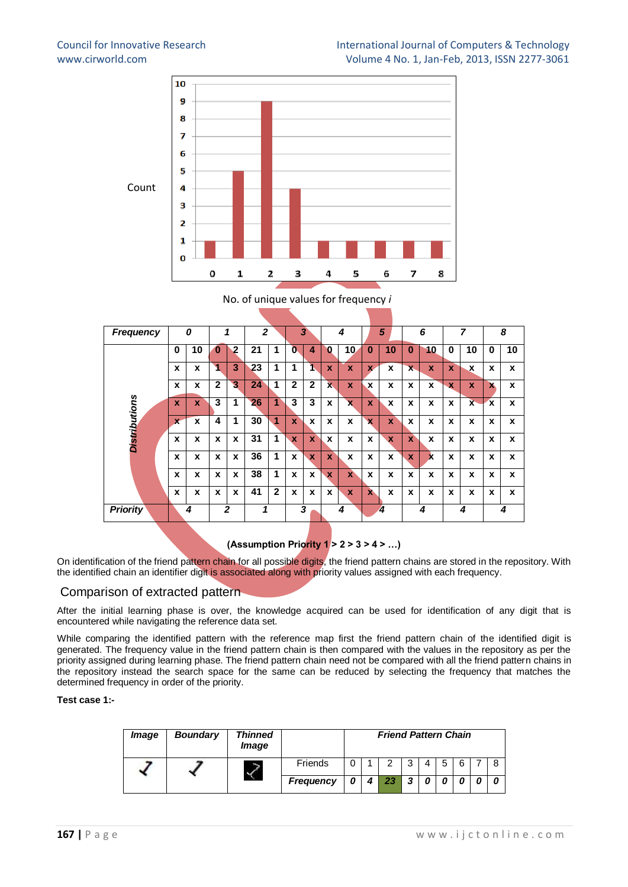

#### No. of unique values for frequency *i*

| <b>Frequency</b>     |              | 0            |              | 1              | $\mathbf{z}$ |              |              | 3            |             | 4                       |              | 5            |                           | 6                         |             | 7            |              | 8  |
|----------------------|--------------|--------------|--------------|----------------|--------------|--------------|--------------|--------------|-------------|-------------------------|--------------|--------------|---------------------------|---------------------------|-------------|--------------|--------------|----|
|                      | $\bf{0}$     | 10           | $\bf{0}$     | $\overline{2}$ | 21           | 1            | $\mathbf{0}$ | 4            | 0           | 10 <sub>2</sub>         | $\bf{0}$     | 10           | $\bf{0}$                  | 10                        | $\bf{0}$    | 10           | $\bf{0}$     | 10 |
|                      | X            | X            | 1            | 3              | 23           | 1            | 1            | ٦            | X           | $\mathbf x$             | $\mathbf{x}$ | X            | $\overline{\mathbf{x}}$   | X                         | $\mathbf x$ | x            | X            | X  |
|                      | X            | X            | $\mathbf{2}$ | 3              | 24           | 1            | $\mathbf{2}$ | $\mathbf{2}$ | X.          | X                       | x            | X            | X                         | X                         | $\mathbf x$ | X            | $\mathbf{x}$ | X  |
| <b>Distributions</b> | X            | X            | 3            | 1              | 26           | 1            | 3            | 3            | X           | $\overline{\mathbf{x}}$ | X            | X            | X                         | X                         | x           | $\mathbf{x}$ | $\mathbf x$  | X  |
|                      | $\mathbf{x}$ | X            | 4            | 1              | 30           | 1            | $\mathbf{x}$ | X            | X           | X                       | x            | $\mathbf{x}$ | X                         | X                         | X           | X            | X            | X  |
|                      | $\mathbf x$  | $\mathbf{x}$ | $\mathbf x$  | $\mathbf{x}$   | 31           | 1            | $\mathbf{x}$ | $\mathbf{x}$ | X           | X                       | $\mathbf{x}$ | $\mathbf x$  | $\mathbf x$               | X                         | X           | X            | X            | X  |
|                      | X            | X            | X            | X              | 36           | 1            | X            | $\mathbf x$  | $\mathbf x$ | X                       | X            | X            | $\boldsymbol{\mathsf{x}}$ | $\boldsymbol{\mathsf{x}}$ | X           | X            | X            | X  |
|                      | X            | X            | X            | X              | 38           | 1            | $\mathbf{x}$ | X            | X           | $\mathbf{x}$            | X            | X            | X                         | X                         | x           | X            | X            | X  |
|                      | $\mathbf x$  | X            | X            | X              | 41           | $\mathbf{2}$ | X            | X            | X           | X                       | $\mathbf{x}$ | X            | X                         | X                         | X           | X            | X            | X  |
| <b>Priority</b>      |              | 4            |              | $\mathbf{z}$   | 1            |              |              | 3            |             | 4                       |              | 4            |                           | 4                         |             | 4            |              | 4  |
|                      |              |              |              |                |              |              |              |              |             |                         |              |              |                           |                           |             |              |              |    |

**(Assumption Priority 1 > 2 > 3 > 4 > …)**

On identification of the friend pattern chain for all possible digits, the friend pattern chains are stored in the repository. With the identified chain an identifier digit is associated along with priority values assigned with each frequency.

#### Comparison of extracted pattern

After the initial learning phase is over, the knowledge acquired can be used for identification of any digit that is encountered while navigating the reference data set.

While comparing the identified pattern with the reference map first the friend pattern chain of the identified digit is generated. The frequency value in the friend pattern chain is then compared with the values in the repository as per the priority assigned during learning phase. The friend pattern chain need not be compared with all the friend pattern chains in the repository instead the search space for the same can be reduced by selecting the frequency that matches the determined frequency in order of the priority.

#### **Test case 1:-**

| <i><b>Image</b></i> | <b>Boundary</b> | <b>Thinned</b><br><i><b>Image</b></i> |                  |                  | <b>Friend Pattern Chain</b> |   |   |   |  |
|---------------------|-----------------|---------------------------------------|------------------|------------------|-----------------------------|---|---|---|--|
|                     |                 |                                       | Friends          |                  | າ                           | 3 | 5 | 6 |  |
|                     |                 |                                       | <b>Frequency</b> | $\boldsymbol{4}$ | 23                          | 3 |   |   |  |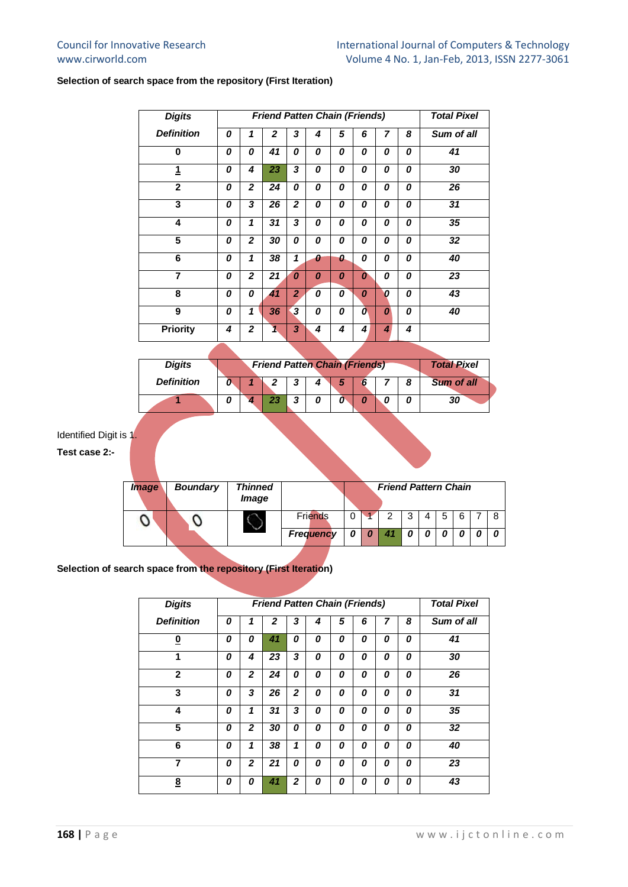#### **Selection of search space from the repository (First Iteration)**

| <b>Digits</b>     |   |                |                 |                | <b>Friend Patten Chain (Friends)</b> |   |   |   |   | <b>Total Pixel</b> |
|-------------------|---|----------------|-----------------|----------------|--------------------------------------|---|---|---|---|--------------------|
| <b>Definition</b> | 0 | 1              | $\overline{2}$  | 3              | 4                                    | 5 | 6 | 7 | 8 | Sum of all         |
| $\bf{0}$          | 0 | 0              | 41              | 0              | 0                                    | 0 | 0 | 0 | 0 | 41                 |
| 1                 | 0 | 4              | 23              | 3              | 0                                    | 0 | 0 | 0 | 0 | 30                 |
| $\overline{2}$    | 0 | $\mathbf{z}$   | $\overline{24}$ | 0              | 0                                    | 0 | 0 | 0 | 0 | 26                 |
| 3                 | 0 | 3              | 26              | $\mathbf{z}$   | 0                                    | 0 | 0 | 0 | 0 | 31                 |
| 4                 | 0 | 1              | 31              | 3              | 0                                    | 0 | 0 | 0 | 0 | 35                 |
| 5                 | 0 | $\overline{2}$ | 30              | 0              | 0                                    | 0 | 0 | 0 | 0 | 32                 |
| 6                 | 0 | 1              | 38              | 1              | 0                                    | 0 | 0 | 0 | 0 | 40                 |
| 7                 | 0 | $\overline{2}$ | 21              | 0              | 0                                    | 0 | 0 | 0 | 0 | 23                 |
| 8                 | 0 | 0              | 41              | $\overline{2}$ | 0                                    | 0 | 0 | 0 | 0 | 43                 |
| 9                 | 0 | 1              | 36              | 3              | 0                                    | 0 | 0 | 0 | 0 | 40                 |
| <b>Priority</b>   | 4 | $\overline{2}$ | 1               | 3              | 4                                    | 4 | 4 | 4 | 4 |                    |

| <b>Digits</b>     |  | <b>Friend Patten Chain (Friends)</b> |          |   |  | <b>Total Pixel</b> |
|-------------------|--|--------------------------------------|----------|---|--|--------------------|
| <b>Definition</b> |  |                                      | - 3      | 5 |  | <b>Sum of all</b>  |
|                   |  |                                      | <u>.</u> |   |  | 30                 |

Identified Digit is 1.

**Test case 2:-**

| <i><b>Image</b></i> | <b>Boundary</b> | Thinned<br>Image |                  |  | <b>Friend Pattern Chain</b> |   |   |   |  |
|---------------------|-----------------|------------------|------------------|--|-----------------------------|---|---|---|--|
|                     |                 |                  | <b>Friends</b>   |  | 2                           | 3 | 5 | 6 |  |
|                     |                 |                  | <b>Frequency</b> |  |                             | 0 |   |   |  |

#### **Selection of search space from the repository (First Iteration)**

| <b>Digits</b>           |   | <b>Friend Patten Chain (Friends)</b> |    | <b>Total Pixel</b> |   |   |   |   |          |            |  |  |  |  |
|-------------------------|---|--------------------------------------|----|--------------------|---|---|---|---|----------|------------|--|--|--|--|
| <b>Definition</b>       | 0 | 1                                    | 2  | 3                  | 4 | 5 | 6 | 7 | 8        | Sum of all |  |  |  |  |
| $\overline{\mathbf{0}}$ | 0 | 0                                    | 41 | 0                  | 0 | 0 | 0 | 0 | 0        | 41         |  |  |  |  |
| 1                       | 0 | 4                                    | 23 | 3                  | 0 | 0 | 0 | 0 | 0        | 30         |  |  |  |  |
| $\overline{2}$          | 0 | $\mathbf{z}$                         | 24 | 0                  | 0 | 0 | 0 | 0 | 0        | 26         |  |  |  |  |
| 3                       | 0 | 3                                    | 26 | $\overline{2}$     | 0 | 0 | 0 | 0 | 0        | 31         |  |  |  |  |
| 4                       | 0 | 1                                    | 31 | 3                  | 0 | 0 | 0 | 0 | 0        | 35         |  |  |  |  |
| 5                       | 0 | $\mathbf{2}$                         | 30 | 0                  | 0 | 0 | 0 | 0 | 0        | 32         |  |  |  |  |
| 6                       | 0 | 1                                    | 38 | 1                  | 0 | 0 | 0 | 0 | $\Omega$ | 40         |  |  |  |  |
| 7                       | 0 | $\mathbf{z}$                         | 21 | 0                  | 0 | 0 | 0 | 0 | 0        | 23         |  |  |  |  |
| $\underline{8}$         | 0 | 0                                    | 41 | $\mathbf{2}$       | 0 | 0 | 0 | Ω | $\Omega$ | 43         |  |  |  |  |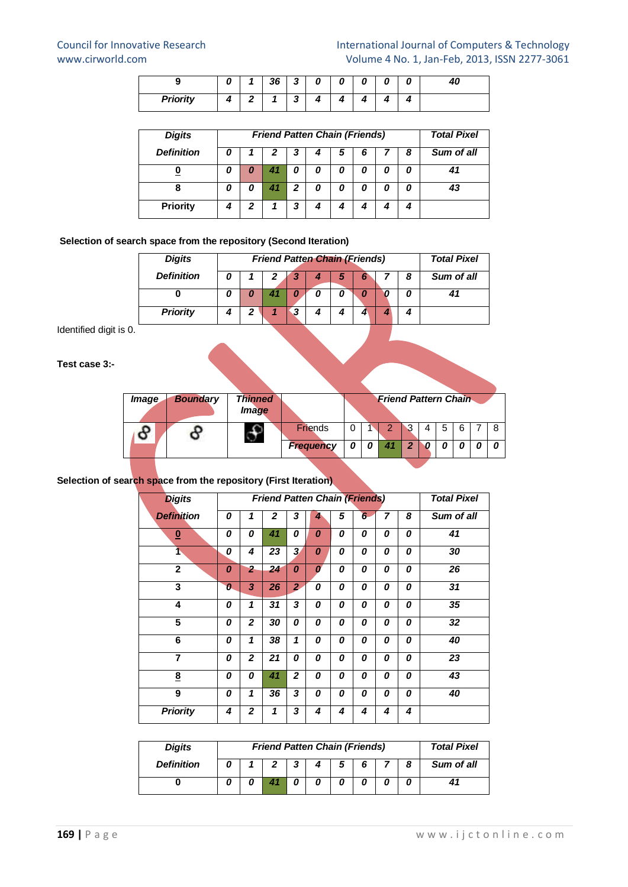| - 1             |                 | 26 | 2<br> | Ω | п |  |  |
|-----------------|-----------------|----|-------|---|---|--|--|
| <b>Priority</b> | $\sqrt{2}$<br>— |    | ≏<br> |   |   |  |  |

| <b>Digits</b>     |   | <b>Friend Patten Chain (Friends)</b> | <b>Total Pixel</b> |   |   |   |   |   |            |
|-------------------|---|--------------------------------------|--------------------|---|---|---|---|---|------------|
| <b>Definition</b> |   |                                      | 2                  | 3 |   | 5 | 6 | 8 | Sum of all |
|                   |   | 0                                    |                    | 0 | 0 |   | 0 |   |            |
| 8                 | 0 | 0                                    |                    | 2 | 0 | n | 0 |   |            |
| <b>Priority</b>   |   | 2                                    |                    | З |   |   | 4 |   |            |

#### **Selection of search space from the repository (Second Iteration)**

| <b>Digits</b>     | <b>Friend Patten Chain (Friends)</b> |   | <b>Total Pixel</b> |  |   |            |
|-------------------|--------------------------------------|---|--------------------|--|---|------------|
| <b>Definition</b> |                                      |   | э                  |  | 8 | Sum of all |
|                   |                                      |   |                    |  |   |            |
| <b>Priority</b>   | 2                                    | З |                    |  |   |            |

Identified digit is 0.

#### **Test case 3:-**

| <i>Image</i> | <b>Boundary</b> | <b>Thinned</b><br>Image |                  |  | <b>Friend Pattern Chain</b> |   |   |   |   |  |
|--------------|-----------------|-------------------------|------------------|--|-----------------------------|---|---|---|---|--|
|              |                 |                         | <b>Friends</b>   |  |                             | ີ | 4 | 5 | 6 |  |
|              |                 |                         | <b>Frequency</b> |  |                             | œ |   |   |   |  |

#### **Selection of search space from the repository (First Iteration)**

| <b>Digits</b>           |   |                |                |                         | <b>Friend Patten Chain (Friends)</b> |   |                 |   |   | <b>Total Pixel</b> |  |  |
|-------------------------|---|----------------|----------------|-------------------------|--------------------------------------|---|-----------------|---|---|--------------------|--|--|
| <b>Definition</b>       | 0 | 1              | $\overline{2}$ | 3                       | 4                                    | 5 | $6\overline{6}$ | 7 | 8 | Sum of all         |  |  |
| $\overline{\mathbf{0}}$ | 0 | 0              | 41             | 0                       | 0                                    | 0 | 0               | 0 | 0 | 41                 |  |  |
| ተ                       | 0 | 4              | 23             | $\overline{\mathbf{3}}$ | 0                                    | 0 | 0               | 0 | 0 | 30                 |  |  |
| $\mathbf{2}$            | 0 | $\overline{2}$ | 24             | 0                       | $\boldsymbol{0}$                     | 0 | 0               | 0 | 0 | 26                 |  |  |
| 3                       | 0 | 3              | 26             | $\mathbf{z}$            | 0                                    | 0 | 0               | 0 | 0 | 31                 |  |  |
| 4                       | 0 | 1              | 31             | 3                       | $\boldsymbol{0}$                     | 0 | 0               | 0 | 0 | 35                 |  |  |
| 5                       | 0 | $\mathbf{z}$   | 30             | 0                       | 0                                    | 0 | 0               | 0 | 0 | 32                 |  |  |
| 6                       | 0 | 1              | 38             | 1                       | 0                                    | 0 | 0               | 0 | 0 | 40                 |  |  |
| $\overline{7}$          | 0 | $\overline{2}$ | 21             | 0                       | 0                                    | 0 | 0               | 0 | 0 | 23                 |  |  |
| $\underline{8}$         | 0 | 0              | 41             | $\mathbf{z}$            | 0                                    | 0 | 0               | 0 | 0 | 43                 |  |  |
| 9                       | 0 | 1              | 36             | 3                       | 0                                    | 0 | 0               | 0 | 0 | 40                 |  |  |
| <b>Priority</b>         | 4 | $\overline{2}$ | 1              | 3                       | 4                                    | 4 | 4               | 4 | 4 |                    |  |  |

| <b>Digits</b>     | <b>Friend Patten Chain (Friends)</b> | <b>Total Pixel</b> |   |   |  |            |
|-------------------|--------------------------------------|--------------------|---|---|--|------------|
| <b>Definition</b> |                                      | 2                  | 5 | 6 |  | Sum of all |
|                   |                                      |                    |   |   |  |            |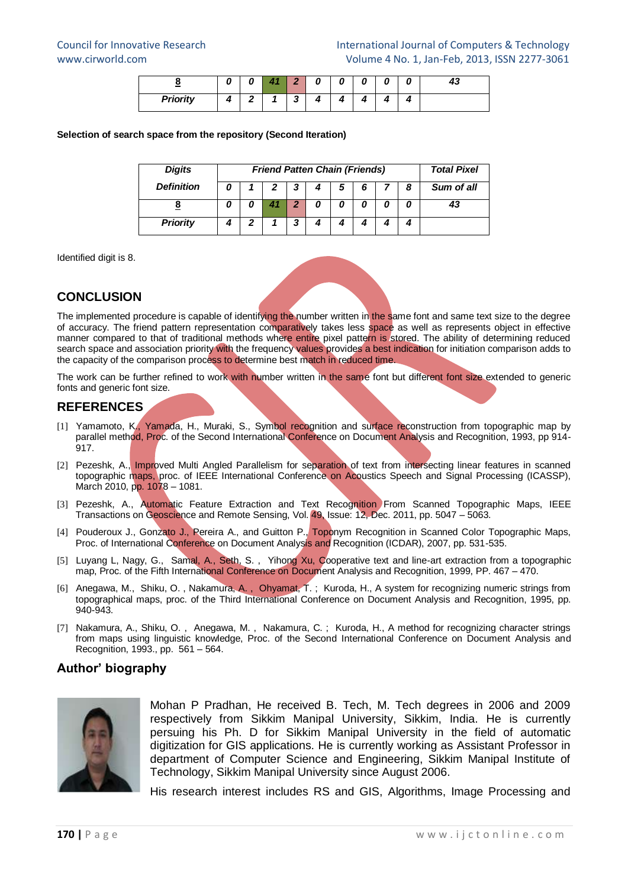| -<br>_          |                             | $\epsilon$     | Ω |  |  |
|-----------------|-----------------------------|----------------|---|--|--|
| <b>Priority</b> | $\mathbf{\hat{}}$<br>-<br>- | $\cdot$<br>- 1 |   |  |  |

#### **Selection of search space from the repository (Second Iteration)**

| <b>Digits</b>     | <b>Friend Patten Chain (Friends)</b> | <b>Total Pixel</b> |   |   |   |            |
|-------------------|--------------------------------------|--------------------|---|---|---|------------|
| <b>Definition</b> |                                      | 3                  | 5 | 6 | 8 | Sum of all |
|                   | O                                    | 2                  |   | 0 |   |            |
| <b>Priority</b>   | 2                                    | ,                  |   |   |   |            |

Identified digit is 8.

## **CONCLUSION**

The implemented procedure is capable of identifying the number written in the same font and same text size to the degree of accuracy. The friend pattern representation comparatively takes less space as well as represents object in effective manner compared to that of traditional methods where entire pixel pattern is stored. The ability of determining reduced search space and association priority with the frequency values provides a best indication for initiation comparison adds to the capacity of the comparison process to determine best match in reduced time.

The work can be further refined to work with number written in the same font but different font size extended to generic fonts and generic font size.

## **REFERENCES**

- [1] [Yamamoto, K., Yamada, H.,](http://ieeexplore.ieee.org/search/searchresult.jsp?searchWithin=p_Authors:.QT.Yamamoto,%20K..QT.&newsearch=partialPref) [Muraki, S.,](http://ieeexplore.ieee.org/search/searchresult.jsp?searchWithin=p_Authors:.QT.Yamamoto,%20K..QT.&newsearch=partialPref) Symbol recognition and surface reconstruction from topographic map by parallel method, Proc. of the Second International Conference on Document Analysis and Recognition, 1993, pp 914-  $017$
- [2] Pezeshk, A., Improved Multi Angled Parallelism for separation of text from intersecting linear features in scanned topographic maps, proc. of IEEE International Conference on Acoustics Speech and Signal Processing (ICASSP), March 2010, pp. 1078 – 1081.
- [3] Pezeshk, A., Automatic Feature Extraction and Text Recognition From Scanned Topographic Maps, IEEE Transactions on Geoscience and Remote Sensing, Vol. 49, Issue: 12, Dec. 2011, pp. 5047 – 5063.
- [4] Pouderoux J., Gonzato J., Pereira A., and Guitton P., Toponym Recognition in Scanned Color Topographic Maps, Proc. of International Conference on Document Analysis and Recognition (ICDAR), 2007, pp. 531-535.
- [5] Luyang L, Nagy, G., Samal, A., Seth, S., Yihong Xu, Cooperative text and line-art extraction from a topographic map, Proc. of the Fifth International Conference on Document Analysis and Recognition, 1999, PP. 467 – 470.
- [6] Anegawa, M., Shiku, O., Nakamura, A., Ohyamat, T.; Kuroda, H., A system for recognizing numeric strings from topographical maps, proc. of the Third International Conference on Document Analysis and Recognition, 1995, pp. 940-943.
- [7] Nakamura, A., Shiku, O., Anegawa, M., Nakamura, C.; Kuroda, H., A method for recognizing character strings from maps using linguistic knowledge, Proc. of the Second International Conference on Document Analysis and Recognition, 1993., pp. 561 – 564.

## **Author' biography**



Mohan P Pradhan, He received B. Tech, M. Tech degrees in 2006 and 2009 respectively from Sikkim Manipal University, Sikkim, India. He is currently persuing his Ph. D for Sikkim Manipal University in the field of automatic digitization for GIS applications. He is currently working as Assistant Professor in department of Computer Science and Engineering, Sikkim Manipal Institute of Technology, Sikkim Manipal University since August 2006.

His research interest includes RS and GIS, Algorithms, Image Processing and